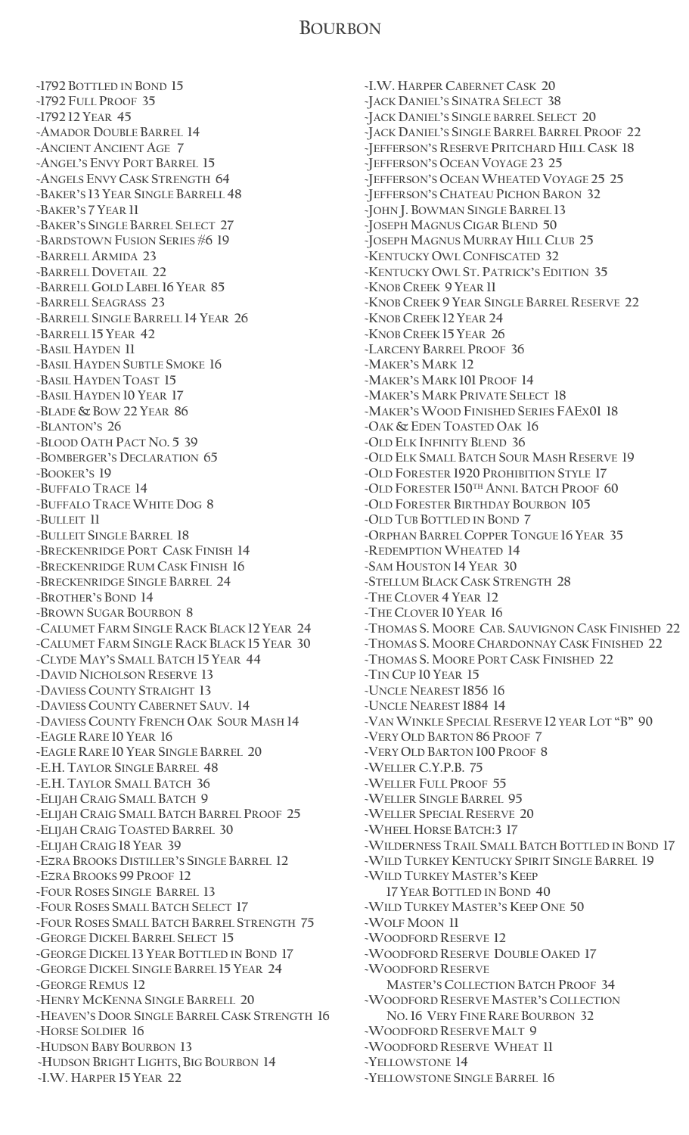#### **BOURBON**

**~1792 BOTTLED IN BOND 15 ~1792 FULL PROOF 35 ~1792 12 YEAR 45 ~AMADOR DOUBLE BARREL 14 ~ANCIENT ANCIENT AGE 7 ~ANGEL'S ENVY PORT BARREL 15 ~ANGELS ENVY CASK STRENGTH 64 ~BAKER'S 13 YEAR SINGLE BARRELL 48 ~BAKER'S 7 YEAR 11 ~BAKER'S SINGLE BARREL SELECT 27 ~BARDSTOWN FUSION SERIES #6 19 ~BARRELL ARMIDA 23 ~BARRELL DOVETAIL 22 ~BARRELL GOLD LABEL 16 YEAR 85 ~BARRELL SEAGRASS 23 ~BARRELL SINGLE BARRELL 14 YEAR 26 ~BARRELL 15 YEAR 42 ~BASIL HAYDEN 11 ~BASIL HAYDEN SUBTLE SMOKE 16 ~BASIL HAYDEN TOAST 15 ~BASIL HAYDEN 10 YEAR 17 ~BLADE & BOW 22 YEAR 86 ~BLANTON'S 26 ~BLOOD OATH PACT NO. 5 39 ~BOMBERGER'S DECLARATION 65 ~BOOKER'S 19 ~BUFFALO TRACE 14 ~BUFFALO TRACE WHITE DOG 8 ~BULLEIT 11 ~BULLEIT SINGLE BARREL 18 ~BRECKENRIDGE PORT CASK FINISH 14 ~BRECKENRIDGE RUM CASK FINISH 16 ~BRECKENRIDGE SINGLE BARREL 24 ~BROTHER'S BOND 14 ~BROWN SUGAR BOURBON 8 ~CALUMET FARM SINGLE RACK BLACK 12 YEAR 24 ~CALUMET FARM SINGLE RACK BLACK 15 YEAR 30 ~CLYDE MAY'S SMALL BATCH 15 YEAR 44 ~DAVID NICHOLSON RESERVE 13 ~DAVIESS COUNTY STRAIGHT 13 ~DAVIESS COUNTY CABERNET SAUV. 14 ~DAVIESS COUNTY FRENCH OAK SOUR MASH 14 ~EAGLE RARE 10 YEAR 16 ~EAGLE RARE 10 YEAR SINGLE BARREL 20 ~E.H. TAYLOR SINGLE BARREL 48 ~E.H. TAYLOR SMALL BATCH 36 ~ELIJAH CRAIG SMALL BATCH 9 ~ELIJAH CRAIG SMALL BATCH BARREL PROOF 25 ~ELIJAH CRAIG TOASTED BARREL 30 ~ELIJAH CRAIG 18 YEAR 39 ~EZRA BROOKS DISTILLER'S SINGLE BARREL 12 ~EZRA BROOKS 99 PROOF 12 ~FOUR ROSES SINGLE BARREL 13 ~FOUR ROSES SMALL BATCH SELECT 17 ~FOUR ROSES SMALL BATCH BARREL STRENGTH 75 ~GEORGE DICKEL BARREL SELECT 15 ~GEORGE DICKEL 13 YEAR BOTTLED IN BOND 17 ~GEORGE DICKEL SINGLE BARREL 15 YEAR 24 ~GEORGE REMUS 12 ~HENRY MCKENNA SINGLE BARRELL 20 ~HEAVEN'S DOOR SINGLE BARREL CASK STRENGTH 16 ~HORSE SOLDIER 16 ~HUDSON BABY BOURBON 13 ~HUDSON BRIGHT LIGHTS, BIG BOURBON 14 ~I.W. HARPER 15 YEAR 22**

**~I.W. HARPER CABERNET CASK 20 ~JACK DANIEL'S SINATRA SELECT 38 ~JACK DANIEL'S SINGLE BARREL SELECT 20 ~JACK DANIEL'S SINGLE BARREL BARREL PROOF 22 ~JEFFERSON'S RESERVE PRITCHARD HILL CASK 18 ~JEFFERSON'S OCEAN VOYAGE 23 25 ~JEFFERSON'S OCEAN WHEATED VOYAGE 25 25 ~JEFFERSON'S CHATEAU PICHON BARON 32 ~JOHN J. BOWMAN SINGLE BARREL 13 ~JOSEPH MAGNUS CIGAR BLEND 50 ~JOSEPH MAGNUS MURRAY HILL CLUB 25 ~KENTUCKY OWL CONFISCATED 32 ~KENTUCKY OWL ST. PATRICK'S EDITION 35 ~KNOB CREEK 9 YEAR 11 ~KNOB CREEK 9 YEAR SINGLE BARREL RESERVE 22 ~KNOB CREEK 12 YEAR 24 ~KNOB CREEK 15 YEAR 26 ~LARCENY BARREL PROOF 36 ~MAKER'S MARK 12 ~MAKER'S MARK 101 PROOF 14 ~MAKER'S MARK PRIVATE SELECT 18 ~MAKER'S WOOD FINISHED SERIES FAEX01 18 ~OAK & EDEN TOASTED OAK 16 ~OLD ELK INFINITY BLEND 36 ~OLD ELK SMALL BATCH SOUR MASH RESERVE 19 ~OLD FORESTER 1920 PROHIBITION STYLE 17 ~OLD FORESTER 150TH ANNI. BATCH PROOF 60 ~OLD FORESTER BIRTHDAY BOURBON 105 ~OLD TUB BOTTLED IN BOND 7 ~ORPHAN BARREL COPPER TONGUE 16 YEAR 35 ~REDEMPTION WHEATED 14 ~SAM HOUSTON 14 YEAR 30 ~STELLUM BLACK CASK STRENGTH 28 ~THE CLOVER 4 YEAR 12 ~THE CLOVER 10 YEAR 16 ~THOMAS S. MOORE CAB. SAUVIGNON CASK FINISHED 22 ~THOMAS S. MOORE CHARDONNAY CASK FINISHED 22 ~THOMAS S. MOORE PORT CASK FINISHED 22 ~TIN CUP 10 YEAR 15 ~UNCLE NEAREST 1856 16 ~UNCLE NEAREST 1884 14 ~VAN WINKLE SPECIAL RESERVE 12 YEAR LOT "B" 90 ~VERY OLD BARTON 86 PROOF 7 ~VERY OLD BARTON 100 PROOF 8 ~WELLER C.Y.P.B. 75 ~WELLER FULL PROOF 55 ~WELLER SINGLE BARREL 95 ~WELLER SPECIAL RESERVE 20 ~WHEEL HORSE BATCH:3 17 ~WILDERNESS TRAIL SMALL BATCH BOTTLED IN BOND 17 ~WILD TURKEY KENTUCKY SPIRIT SINGLE BARREL 19 ~WILD TURKEY MASTER'S KEEP 17 YEAR BOTTLED IN BOND 40 ~WILD TURKEY MASTER'S KEEP ONE 50 ~WOLF MOON 11 ~WOODFORD RESERVE 12 ~WOODFORD RESERVE DOUBLE OAKED 17 ~WOODFORD RESERVE MASTER'S COLLECTION BATCH PROOF 34 ~WOODFORD RESERVE MASTER'S COLLECTION NO.16 VERY FINE RARE BOURBON 32 ~WOODFORD RESERVE MALT 9 ~WOODFORD RESERVE WHEAT 11 ~YELLOWSTONE 14 ~YELLOWSTONE SINGLE BARREL 16**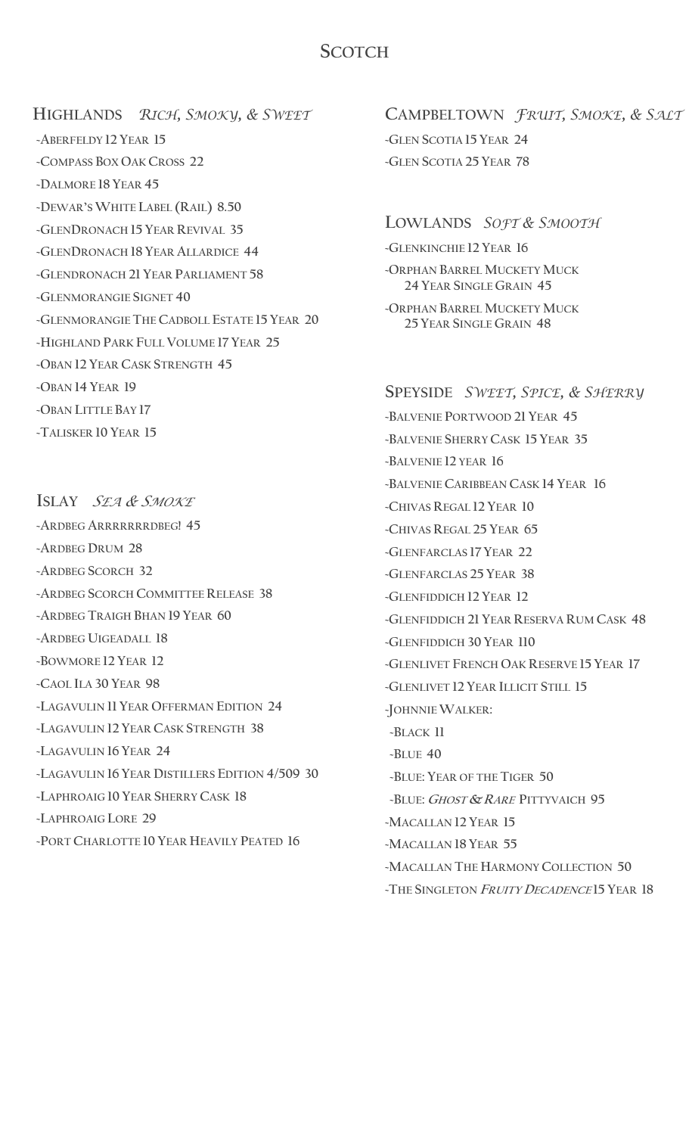#### **SCOTCH**

 **HIGHLANDS** *RICH, SMOKY, & SWEET* **~ABERFELDY 12 YEAR 15 ~COMPASS BOX OAK CROSS 22 ~DALMORE 18 YEAR 45 ~DEWAR'SWHITE LABEL (RAIL) 8.50 ~GLENDRONACH 15 YEAR REVIVAL 35 ~GLENDRONACH 18 YEAR ALLARDICE 44 ~GLENDRONACH 21 YEAR PARLIAMENT 58 ~GLENMORANGIE SIGNET 40 ~GLENMORANGIE THE CADBOLL ESTATE 15 YEAR 20 ~HIGHLAND PARK FULL VOLUME 17 YEAR 25 ~OBAN 12 YEAR CASK STRENGTH 45 ~OBAN 14 YEAR 19 ~OBAN LITTLE BAY 17 ~TALISKER 10 YEAR 15**

**ISLAY** *SEA & <sup>S</sup>MOKE* **~ARDBEG ARRRRRRRDBEG! 45 ~ARDBEG DRUM 28 ~ARDBEG SCORCH 32 ~ARDBEG SCORCH COMMITTEE RELEASE 38 ~ARDBEG TRAIGH BHAN 19 YEAR 60 ~ARDBEG UIGEADALL 18 ~BOWMORE 12 YEAR 12 ~CAOL ILA 30 YEAR 98 ~LAGAVULIN 11 YEAR OFFERMAN EDITION 24 ~LAGAVULIN 12 YEAR CASK STRENGTH 38 ~LAGAVULIN 16 YEAR 24 ~LAGAVULIN 16 YEAR DISTILLERS EDITION 4/509 30 ~LAPHROAIG 10 YEAR SHERRY CASK 18 ~LAPHROAIG LORE 29 ~PORT CHARLOTTE 10 YEAR HEAVILY PEATED 16**

**CAMPBELTOWN** *FRUIT, SMOKE, & SALT*  **~GLEN SCOTIA 15 YEAR 24 ~GLEN SCOTIA 25 YEAR 78**

#### **LOWLANDS** *SOFT & SMOOTH*

**~GLENKINCHIE 12 YEAR 16**

**~ORPHAN BARREL MUCKETY MUCK 24 YEAR SINGLE GRAIN 45**

**~ORPHAN BARREL MUCKETY MUCK 25 YEAR SINGLE GRAIN 48**

**~BALVENIE PORTWOOD 21 YEAR 45**

# **SPEYSIDE** *SWEET, SPICE, & SHERRY*

**~BALVENIE SHERRY CASK 15 YEAR 35 ~BALVENIE 12 YEAR 16 ~BALVENIE CARIBBEAN CASK 14 YEAR 16 ~CHIVAS REGAL 12 YEAR 10 ~CHIVAS REGAL 25 YEAR 65 ~GLENFARCLAS 17 YEAR 22 ~GLENFARCLAS 25 YEAR 38 ~GLENFIDDICH 12 YEAR 12 ~GLENFIDDICH 21 YEAR RESERVA RUM CASK 48 ~GLENFIDDICH 30 YEAR 110 ~GLENLIVET FRENCH OAK RESERVE 15 YEAR 17 ~GLENLIVET 12 YEAR ILLICIT STILL 15 ~JOHNNIE WALKER: ~BLACK 11 ~BLUE 40 ~BLUE: YEAR OF THE TIGER 50 ~BLUE: <sup>G</sup>HOST & <sup>R</sup>ARE PITTYVAICH 95 ~MACALLAN 12 YEAR 15 ~MACALLAN 18 YEAR 55 ~MACALLAN THE HARMONY COLLECTION 50 ~THE SINGLETON FRUITY <sup>D</sup>ECADENCE 15 YEAR 18**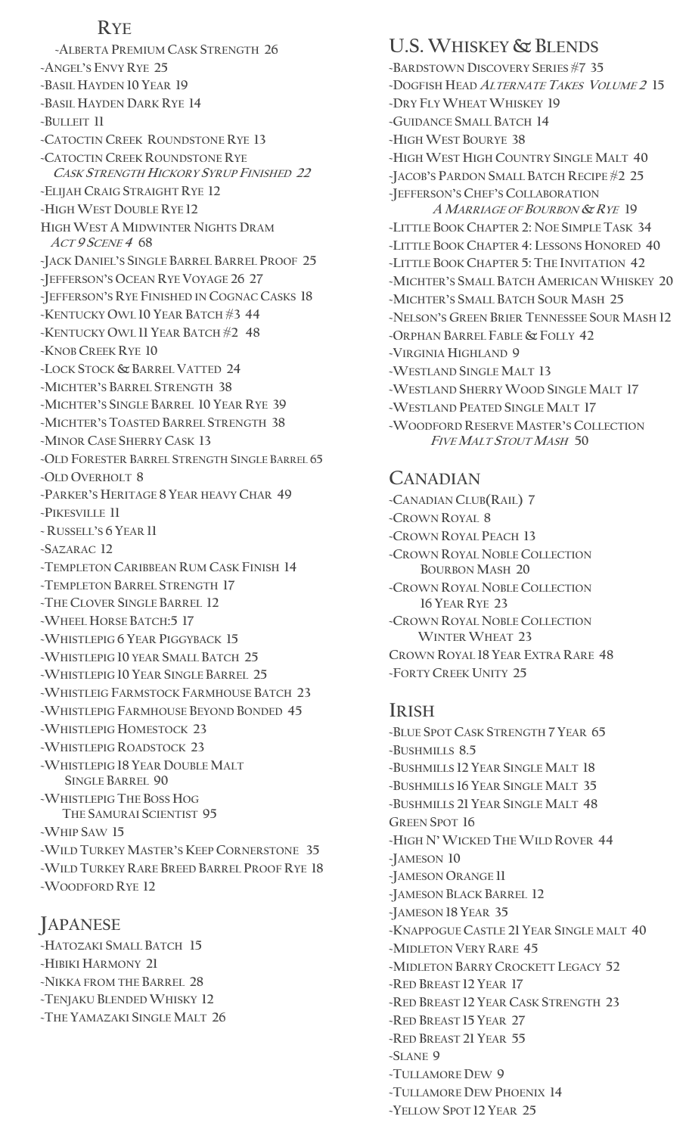#### **RYE**

 **~ALBERTA PREMIUM CASK STRENGTH 26 ~ANGEL'S ENVY RYE 25 ~BASIL HAYDEN 10 YEAR 19 ~BASIL HAYDEN DARK RYE 14 ~BULLEIT 11 ~CATOCTIN CREEK ROUNDSTONE RYE 13 ~CATOCTIN CREEK ROUNDSTONE RYE CASK STRENGTH HICKORY SYRUP FINISHED 22 ~ELIJAH CRAIG STRAIGHT RYE 12 ~HIGH WEST DOUBLE RYE 12 HIGH WEST A MIDWINTER NIGHTS DRAM ACT <sup>9</sup> <sup>S</sup>CENE <sup>4</sup> 68 ~JACK DANIEL'S SINGLE BARREL BARREL PROOF 25 ~JEFFERSON'S OCEAN RYE VOYAGE 26 27 ~JEFFERSON'S RYE FINISHED IN COGNAC CASKS 18 ~KENTUCKY OWL 10 YEAR BATCH #3 44 ~KENTUCKY OWL 11 YEAR BATCH #2 48 ~KNOB CREEK RYE 10 ~LOCK STOCK & BARREL VATTED 24 ~MICHTER'S BARREL STRENGTH 38 ~MICHTER'S SINGLE BARREL 10 YEAR RYE 39 ~MICHTER'S TOASTED BARREL STRENGTH 38 ~MINOR CASE SHERRY CASK 13 ~OLD FORESTER BARREL STRENGTH SINGLE BARREL 65 ~OLD OVERHOLT 8 ~PARKER'S HERITAGE 8 YEAR HEAVY CHAR 49 ~PIKESVILLE 11 ~ RUSSELL'S 6 YEAR 11 ~SAZARAC 12 ~TEMPLETON CARIBBEAN RUM CASK FINISH 14 ~TEMPLETON BARREL STRENGTH 17 ~THE CLOVER SINGLE BARREL 12 ~WHEEL HORSE BATCH:5 17 ~WHISTLEPIG 6 YEAR PIGGYBACK 15 ~WHISTLEPIG 10 YEAR SMALL BATCH 25 ~WHISTLEPIG 10 YEAR SINGLE BARREL 25 ~WHISTLEIG FARMSTOCK FARMHOUSE BATCH 23 ~WHISTLEPIG FARMHOUSE BEYOND BONDED 45 ~WHISTLEPIG HOMESTOCK 23 ~WHISTLEPIG ROADSTOCK 23 ~WHISTLEPIG 18 YEAR DOUBLE MALT SINGLE BARREL 90 ~WHISTLEPIG THE BOSS HOG THE SAMURAI SCIENTIST 95 ~WHIP SAW 15 ~WILD TURKEY MASTER'S KEEP CORNERSTONE 35 ~WILD TURKEY RARE BREED BARREL PROOF RYE 18 ~WOODFORD RYE 12**

### **JAPANESE**

**~HATOZAKI SMALL BATCH 15 ~HIBIKI HARMONY 21 ~NIKKA FROM THE BARREL 28 ~TENJAKU BLENDED WHISKY 12 ~THE YAMAZAKI SINGLE MALT 26**

# **U.S.WHISKEY & BLENDS**

**~BARDSTOWN DISCOVERY SERIES #7 35 ~DOGFISH HEAD ALTERNATE <sup>T</sup>AKES <sup>V</sup>OLUME <sup>2</sup> 15 ~DRY FLY WHEAT WHISKEY 19 ~GUIDANCE SMALL BATCH 14 ~HIGH WEST BOURYE 38 ~HIGH WEST HIGH COUNTRY SINGLE MALT 40 ~JACOB'S PARDON SMALL BATCH RECIPE #2 25 ~JEFFERSON'S CHEF'S COLLABORATION A <sup>M</sup>ARRIAGE OF BOURBON & <sup>R</sup>YE 19 ~LITTLE BOOK CHAPTER 2: NOE SIMPLE TASK 34 ~LITTLE BOOK CHAPTER 4: LESSONS HONORED 40 ~LITTLE BOOK CHAPTER 5: THE INVITATION 42 ~MICHTER'S SMALL BATCH AMERICAN WHISKEY 20 ~MICHTER'S SMALL BATCH SOUR MASH 25 ~NELSON'S GREEN BRIER TENNESSEE SOUR MASH 12 ~ORPHAN BARREL FABLE & FOLLY 42 ~VIRGINIA HIGHLAND 9 ~WESTLAND SINGLE MALT 13 ~WESTLAND SHERRY WOOD SINGLE MALT 17 ~WESTLAND PEATED SINGLE MALT 17 ~WOODFORD RESERVE MASTER'S COLLECTION <sup>F</sup>IVE MALT STOUT MASH 50** 

#### **CANADIAN**

**~CANADIAN CLUB(RAIL) 7 ~CROWN ROYAL 8 ~CROWN ROYAL PEACH 13 ~CROWN ROYAL NOBLE COLLECTION BOURBON MASH 20 ~CROWN ROYAL NOBLE COLLECTION 16 YEAR RYE 23 ~CROWN ROYAL NOBLE COLLECTION WINTER WHEAT 23 CROWN ROYAL 18 YEAR EXTRA RARE 48 ~FORTY CREEK UNITY 25**

#### **IRISH**

**~BLUE SPOT CASK STRENGTH 7 YEAR 65 ~BUSHMILLS 8.5 ~BUSHMILLS 12 YEAR SINGLE MALT 18 ~BUSHMILLS 16 YEAR SINGLE MALT 35 ~BUSHMILLS 21 YEAR SINGLE MALT 48 GREEN SPOT 16 ~HIGH N'WICKED THE WILD ROVER 44 ~JAMESON 10 ~JAMESON ORANGE 11 ~JAMESON BLACK BARREL 12 ~JAMESON 18 YEAR 35 ~KNAPPOGUE CASTLE 21 YEAR SINGLE MALT 40 ~MIDLETON VERY RARE 45 ~MIDLETON BARRY CROCKETT LEGACY 52 ~RED BREAST 12 YEAR 17 ~RED BREAST 12 YEAR CASK STRENGTH 23 ~RED BREAST 15 YEAR 27 ~RED BREAST 21 YEAR 55 ~SLANE 9 ~TULLAMORE DEW 9 ~TULLAMORE DEW PHOENIX 14 ~YELLOW SPOT 12 YEAR 25**